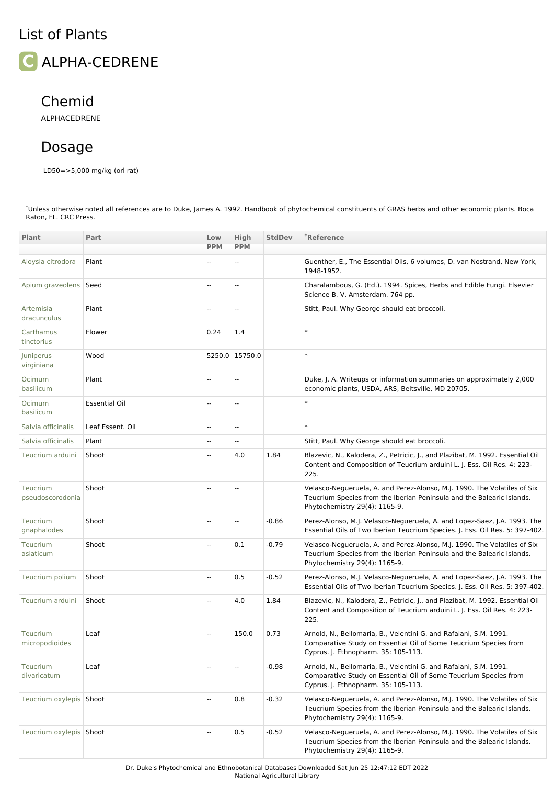## List of Plants

**ALPHA-CEDRENE** 

## Chemid

ALPHACEDRENE

## Dosage

LD50=>5,000 mg/kg (orl rat)

**[Plant](file:///phytochem/chemicals/chemListAll?count=&view=plant&max=&offset=0&part=&actTotal=&plantTotal=&sort=plant.genus.genus&order=asc) Part Low [PPM](file:///phytochem/chemicals/chemListAll?count=&max=&view=plant&offset=0&part=&actTotal=&plantTotal=&sort=amt_lo&order=desc) [High](file:///phytochem/chemicals/chemListAll?count=&max=&view=plant&offset=0&part=&actTotal=&plantTotal=&sort=amt_or_hi&order=desc) PPM** [StdDev](file:///phytochem/chemicals/chemListAll?count=&max=&view=plant&offset=0&filter=&part=&actTotal=&plantTotal=&sort=std&order=desc) **\***Reference Aloysia [citrodora](file:///phytochem/plants/show/98) Plant Plant -- -- -- -- Guenther, E., The Essential Oils, 6 volumes, D. van Nostrand, New York, 1948-1952. Apium [graveolens](file:///phytochem/plants/show/160) Seed -- -- Charalambous, G. (Ed.). 1994. Spices, Herbs and Edible Fungi. Elsevier Science B. V. Amsterdam. 764 pp. Artemisia [dracunculus](file:///phytochem/plants/show/191) Plant -- -- Stitt, Paul. Why George should eat broccoli. [Carthamus](file:///phytochem/plants/show/349) tinctorius Flower  $|0.24 \t1.4 \t+$ Juniperus [virginiana](file:///phytochem/plants/show/1105) Wood **5250.0** 15750.0 Ocimum [basilicum](file:///phytochem/plants/show/1379) Plant Plant Figure 1. Plant -- Proposition of Duke, J. A. Writeups or information summaries on approximately 2,000 economic plants, USDA, ARS, Beltsville, MD 20705. Ocimum [basilicum](file:///phytochem/plants/show/1379) Essential Oil -- -- \* Salvia [officinalis](file:///phytochem/plants/show/1749) Leaf Essent. Oil -- -- \* Salvia [officinalis](file:///phytochem/plants/show/1749) Plant -- -- Stitt, Paul. Why George should eat broccoli. [Teucrium](file:///phytochem/plants/show/1976) arduini Shoot **-- 4.0 1.84 Blazevic, N., Kalodera, Z., Petricic, I., and Plazibat, M. 1992. Essential Oil** Content and Composition of Teucrium arduini L. J. Ess. Oil Res. 4: 223- 225. Teucrium [pseudoscorodonia](file:///phytochem/plants/show/1991) Shoot Shoot -- -- -- -- Velasco-Negueruela, A. and Perez-Alonso, M.J. 1990. The Volatiles of Six Teucrium Species from the Iberian Peninsula and the Balearic Islands. Phytochemistry 29(4): 1165-9. Teucrium [gnaphalodes](file:///phytochem/plants/show/1982) Shoot -- -- -0.86 Perez-Alonso, M.J. Velasco-Negueruela, A. and Lopez-Saez, J.A. 1993. The Essential Oils of Two Iberian Teucrium Species. J. Ess. Oil Res. 5: 397-402. Teucrium [asiaticum](file:///phytochem/plants/show/1977) Shoot **1.1 1.1 -- 1.2.1 -0.79** Velasco-Negueruela, A. and Perez-Alonso, M.J. 1990. The Volatiles of Six Teucrium Species from the Iberian Peninsula and the Balearic Islands. Phytochemistry 29(4): 1165-9. [Teucrium](file:///phytochem/plants/show/1989) polium Shoot -- 0.5 -0.52 Perez-Alonso, M.J. Velasco-Negueruela, A. and Lopez-Saez, J.A. 1993. The Essential Oils of Two Iberian Teucrium Species. J. Ess. Oil Res. 5: 397-402. [Teucrium](file:///phytochem/plants/show/1976) arduini Shoot **-- 4.0 1.84 Blazevic, N., Kalodera, Z., Petricic, J., and Plazibat, M. 1992. Essential Oil** Content and Composition of Teucrium arduini L. J. Ess. Oil Res. 4: 223- 225. Teucrium [micropodioides](file:///phytochem/plants/show/1985) Leaf 150.0 0.73 Arnold, N., Bellomaria, B., Velentini G. and Rafaiani, S.M. 1991. Comparative Study on Essential Oil of Some Teucrium Species from Cyprus. J. Ethnopharm. 35: 105-113. Teucrium [divaricatum](file:///phytochem/plants/show/1981) Leaf -- -- -0.98 Arnold, N., Bellomaria, B., Velentini G. and Rafaiani, S.M. 1991. Comparative Study on Essential Oil of Some Teucrium Species from Cyprus. J. Ethnopharm. 35: 105-113. [Teucrium](file:///phytochem/plants/show/1988) oxylepis Shoot -- 0.8 -0.32 Velasco-Negueruela, A. and Perez-Alonso, M.J. 1990. The Volatiles of Six Teucrium Species from the Iberian Peninsula and the Balearic Islands. Phytochemistry 29(4): 1165-9. [Teucrium](file:///phytochem/plants/show/1987) oxylepis Shoot **-- 1.52 -0.52** -0.52 Velasco-Negueruela, A. and Perez-Alonso, M.J. 1990. The Volatiles of Six Teucrium Species from the Iberian Peninsula and the Balearic Islands. Phytochemistry 29(4): 1165-9.

\*Unless otherwise noted all references are to Duke, James A. 1992. Handbook of phytochemical constituents of GRAS herbs and other economic plants. Boca Raton, FL. CRC Press.

Dr. Duke's Phytochemical and Ethnobotanical Databases Downloaded Sat Jun 25 12:47:12 EDT 2022

National Agricultural Library